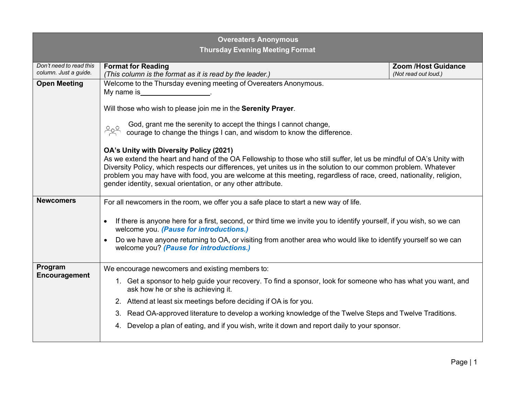| <b>Overeaters Anonymous</b><br><b>Thursday Evening Meeting Format</b> |                                                                                                                                                                                                                                                                                                                                                                                                                                                                          |                                                    |  |
|-----------------------------------------------------------------------|--------------------------------------------------------------------------------------------------------------------------------------------------------------------------------------------------------------------------------------------------------------------------------------------------------------------------------------------------------------------------------------------------------------------------------------------------------------------------|----------------------------------------------------|--|
| Don't need to read this<br>column. Just a guide.                      | <b>Format for Reading</b><br>(This column is the format as it is read by the leader.)                                                                                                                                                                                                                                                                                                                                                                                    | <b>Zoom /Host Guidance</b><br>(Not read out loud.) |  |
| <b>Open Meeting</b>                                                   | Welcome to the Thursday evening meeting of Overeaters Anonymous.<br>My name is                                                                                                                                                                                                                                                                                                                                                                                           |                                                    |  |
|                                                                       | Will those who wish to please join me in the Serenity Prayer.                                                                                                                                                                                                                                                                                                                                                                                                            |                                                    |  |
|                                                                       | God, grant me the serenity to accept the things I cannot change, courage to change the things I can, and wisdom to know the difference.                                                                                                                                                                                                                                                                                                                                  |                                                    |  |
|                                                                       | OA's Unity with Diversity Policy (2021)<br>As we extend the heart and hand of the OA Fellowship to those who still suffer, let us be mindful of OA's Unity with<br>Diversity Policy, which respects our differences, yet unites us in the solution to our common problem. Whatever<br>problem you may have with food, you are welcome at this meeting, regardless of race, creed, nationality, religion,<br>gender identity, sexual orientation, or any other attribute. |                                                    |  |
| <b>Newcomers</b>                                                      | For all newcomers in the room, we offer you a safe place to start a new way of life.                                                                                                                                                                                                                                                                                                                                                                                     |                                                    |  |
|                                                                       | If there is anyone here for a first, second, or third time we invite you to identify yourself, if you wish, so we can<br>welcome you. (Pause for introductions.)                                                                                                                                                                                                                                                                                                         |                                                    |  |
|                                                                       | Do we have anyone returning to OA, or visiting from another area who would like to identify yourself so we can<br>welcome you? (Pause for introductions.)                                                                                                                                                                                                                                                                                                                |                                                    |  |
| Program<br>Encouragement                                              | We encourage newcomers and existing members to:                                                                                                                                                                                                                                                                                                                                                                                                                          |                                                    |  |
|                                                                       | 1. Get a sponsor to help guide your recovery. To find a sponsor, look for someone who has what you want, and<br>ask how he or she is achieving it.                                                                                                                                                                                                                                                                                                                       |                                                    |  |
|                                                                       | 2. Attend at least six meetings before deciding if OA is for you.                                                                                                                                                                                                                                                                                                                                                                                                        |                                                    |  |
|                                                                       | Read OA-approved literature to develop a working knowledge of the Twelve Steps and Twelve Traditions.<br>3.                                                                                                                                                                                                                                                                                                                                                              |                                                    |  |
|                                                                       | Develop a plan of eating, and if you wish, write it down and report daily to your sponsor.<br>4.                                                                                                                                                                                                                                                                                                                                                                         |                                                    |  |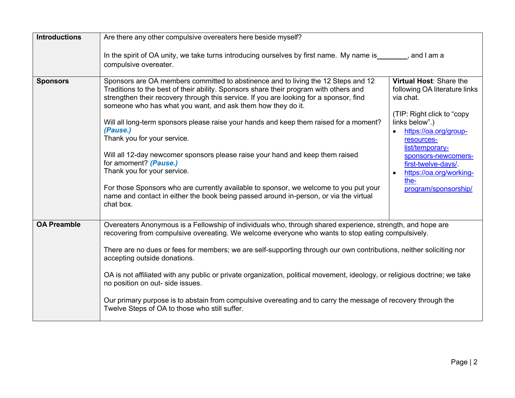| <b>Introductions</b> | Are there any other compulsive overeaters here beside myself?                                                                                                                                                                                                                                                                                                                                                                                                                                                                                                                                                                                                                                                                                                                                                    |                                                                                                                                                                                                                                                                                                      |
|----------------------|------------------------------------------------------------------------------------------------------------------------------------------------------------------------------------------------------------------------------------------------------------------------------------------------------------------------------------------------------------------------------------------------------------------------------------------------------------------------------------------------------------------------------------------------------------------------------------------------------------------------------------------------------------------------------------------------------------------------------------------------------------------------------------------------------------------|------------------------------------------------------------------------------------------------------------------------------------------------------------------------------------------------------------------------------------------------------------------------------------------------------|
|                      | In the spirit of OA unity, we take turns introducing ourselves by first name. My name is _______, and I am a<br>compulsive overeater.                                                                                                                                                                                                                                                                                                                                                                                                                                                                                                                                                                                                                                                                            |                                                                                                                                                                                                                                                                                                      |
| <b>Sponsors</b>      | Sponsors are OA members committed to abstinence and to living the 12 Steps and 12<br>Traditions to the best of their ability. Sponsors share their program with others and<br>strengthen their recovery through this service. If you are looking for a sponsor, find<br>someone who has what you want, and ask them how they do it.<br>Will all long-term sponsors please raise your hands and keep them raised for a moment?<br>(Pause.)<br>Thank you for your service.<br>Will all 12-day newcomer sponsors please raise your hand and keep them raised<br>for amoment? (Pause.)<br>Thank you for your service.<br>For those Sponsors who are currently available to sponsor, we welcome to you put your<br>name and contact in either the book being passed around in-person, or via the virtual<br>chat box. | Virtual Host: Share the<br>following OA literature links<br>via chat.<br>(TIP: Right click to "copy<br>links below".)<br>https://oa.org/group-<br>resources-<br>list/temporary-<br>sponsors-newcomers-<br>first-twelve-days/<br>https://oa.org/working-<br>$\bullet$<br>the-<br>program/sponsorship/ |
| <b>OA Preamble</b>   | Overeaters Anonymous is a Fellowship of individuals who, through shared experience, strength, and hope are<br>recovering from compulsive overeating. We welcome everyone who wants to stop eating compulsively.<br>There are no dues or fees for members; we are self-supporting through our own contributions, neither soliciting nor<br>accepting outside donations.<br>OA is not affiliated with any public or private organization, political movement, ideology, or religious doctrine; we take<br>no position on out- side issues.<br>Our primary purpose is to abstain from compulsive overeating and to carry the message of recovery through the<br>Twelve Steps of OA to those who still suffer.                                                                                                       |                                                                                                                                                                                                                                                                                                      |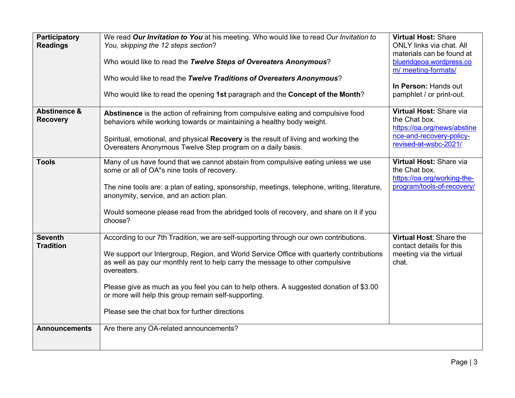| <b>Participatory</b><br><b>Readings</b>    | We read Our Invitation to You at his meeting. Who would like to read Our Invitation to<br>You, skipping the 12 steps section?<br>Who would like to read the Twelve Steps of Overeaters Anonymous?<br>Who would like to read the Twelve Traditions of Overeaters Anonymous?<br>Who would like to read the opening 1st paragraph and the Concept of the Month?                                                                                                                          | <b>Virtual Host: Share</b><br><b>ONLY links via chat. All</b><br>materials can be found at<br>blueridgeoa.wordpress.co<br>m/ meeting-formats/<br>In Person: Hands out<br>pamphlet / or print-out. |
|--------------------------------------------|---------------------------------------------------------------------------------------------------------------------------------------------------------------------------------------------------------------------------------------------------------------------------------------------------------------------------------------------------------------------------------------------------------------------------------------------------------------------------------------|---------------------------------------------------------------------------------------------------------------------------------------------------------------------------------------------------|
| <b>Abstinence &amp;</b><br><b>Recovery</b> | Abstinence is the action of refraining from compulsive eating and compulsive food<br>behaviors while working towards or maintaining a healthy body weight.<br>Spiritual, emotional, and physical Recovery is the result of living and working the<br>Overeaters Anonymous Twelve Step program on a daily basis.                                                                                                                                                                       | Virtual Host: Share via<br>the Chat box.<br>https://oa.org/news/abstine<br>nce-and-recovery-policy-<br>revised-at-wsbc-2021/                                                                      |
| <b>Tools</b>                               | Many of us have found that we cannot abstain from compulsive eating unless we use<br>some or all of OA"s nine tools of recovery.<br>The nine tools are: a plan of eating, sponsorship, meetings, telephone, writing, literature,<br>anonymity, service, and an action plan.<br>Would someone please read from the abridged tools of recovery, and share on it if you<br>choose?                                                                                                       | Virtual Host: Share via<br>the Chat box.<br>https://oa.org/working-the-<br>program/tools-of-recovery/                                                                                             |
| <b>Seventh</b><br><b>Tradition</b>         | According to our 7th Tradition, we are self-supporting through our own contributions.<br>We support our Intergroup, Region, and World Service Office with quarterly contributions<br>as well as pay our monthly rent to help carry the message to other compulsive<br>overeaters.<br>Please give as much as you feel you can to help others. A suggested donation of \$3.00<br>or more will help this group remain self-supporting.<br>Please see the chat box for further directions | Virtual Host: Share the<br>contact details for this<br>meeting via the virtual<br>chat.                                                                                                           |
| <b>Announcements</b>                       | Are there any OA-related announcements?                                                                                                                                                                                                                                                                                                                                                                                                                                               |                                                                                                                                                                                                   |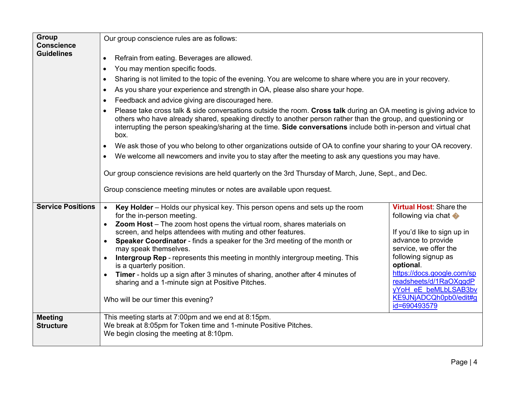| <b>Group</b>                           | Our group conscience rules are as follows:                                                                                                                                                                                                                                                                                                                                                                                                                                                                                                                                                                                                                    |                                                                                                                                                                                                                                                                                                                  |  |
|----------------------------------------|---------------------------------------------------------------------------------------------------------------------------------------------------------------------------------------------------------------------------------------------------------------------------------------------------------------------------------------------------------------------------------------------------------------------------------------------------------------------------------------------------------------------------------------------------------------------------------------------------------------------------------------------------------------|------------------------------------------------------------------------------------------------------------------------------------------------------------------------------------------------------------------------------------------------------------------------------------------------------------------|--|
| <b>Conscience</b><br><b>Guidelines</b> | Refrain from eating. Beverages are allowed.<br>$\bullet$<br>You may mention specific foods.<br>$\bullet$<br>Sharing is not limited to the topic of the evening. You are welcome to share where you are in your recovery.<br>$\bullet$<br>As you share your experience and strength in OA, please also share your hope.<br>$\bullet$                                                                                                                                                                                                                                                                                                                           |                                                                                                                                                                                                                                                                                                                  |  |
|                                        | Feedback and advice giving are discouraged here.<br>$\bullet$                                                                                                                                                                                                                                                                                                                                                                                                                                                                                                                                                                                                 |                                                                                                                                                                                                                                                                                                                  |  |
|                                        | Please take cross talk & side conversations outside the room. Cross talk during an OA meeting is giving advice to<br>others who have already shared, speaking directly to another person rather than the group, and questioning or<br>interrupting the person speaking/sharing at the time. Side conversations include both in-person and virtual chat<br>box.                                                                                                                                                                                                                                                                                                |                                                                                                                                                                                                                                                                                                                  |  |
|                                        | We ask those of you who belong to other organizations outside of OA to confine your sharing to your OA recovery.                                                                                                                                                                                                                                                                                                                                                                                                                                                                                                                                              |                                                                                                                                                                                                                                                                                                                  |  |
|                                        | We welcome all newcomers and invite you to stay after the meeting to ask any questions you may have.<br>$\bullet$                                                                                                                                                                                                                                                                                                                                                                                                                                                                                                                                             |                                                                                                                                                                                                                                                                                                                  |  |
|                                        | Our group conscience revisions are held quarterly on the 3rd Thursday of March, June, Sept., and Dec.                                                                                                                                                                                                                                                                                                                                                                                                                                                                                                                                                         |                                                                                                                                                                                                                                                                                                                  |  |
|                                        | Group conscience meeting minutes or notes are available upon request.                                                                                                                                                                                                                                                                                                                                                                                                                                                                                                                                                                                         |                                                                                                                                                                                                                                                                                                                  |  |
| <b>Service Positions</b>               | Key Holder - Holds our physical key. This person opens and sets up the room<br>$\bullet$<br>for the in-person meeting.<br>Zoom Host - The zoom host opens the virtual room, shares materials on<br>screen, and helps attendees with muting and other features.<br>Speaker Coordinator - finds a speaker for the 3rd meeting of the month or<br>may speak themselves.<br>Intergroup Rep - represents this meeting in monthly intergroup meeting. This<br>is a quarterly position.<br>Timer - holds up a sign after 3 minutes of sharing, another after 4 minutes of<br>sharing and a 1-minute sign at Positive Pitches.<br>Who will be our timer this evening? | <b>Virtual Host: Share the</b><br>following via chat $\blacklozenge$<br>If you'd like to sign up in<br>advance to provide<br>service, we offer the<br>following signup as<br>optional.<br>https://docs.google.com/sp<br>readsheets/d/1RaOXqgdP<br>yYoH eE beMLbLSAB3bv<br>KE9JNjADCQh0pb0/edit#q<br>id=690493579 |  |
| <b>Meeting</b><br><b>Structure</b>     | This meeting starts at 7:00pm and we end at 8:15pm.<br>We break at 8:05pm for Token time and 1-minute Positive Pitches.<br>We begin closing the meeting at 8:10pm.                                                                                                                                                                                                                                                                                                                                                                                                                                                                                            |                                                                                                                                                                                                                                                                                                                  |  |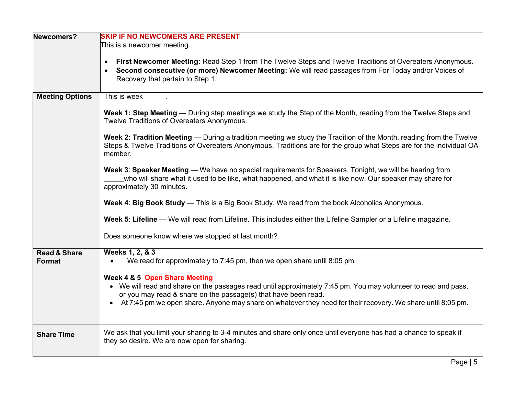| Newcomers?                        | <b>SKIP IF NO NEWCOMERS ARE PRESENT</b>                                                                                                                                                                                                                                                                                                        |  |  |
|-----------------------------------|------------------------------------------------------------------------------------------------------------------------------------------------------------------------------------------------------------------------------------------------------------------------------------------------------------------------------------------------|--|--|
|                                   | This is a newcomer meeting.                                                                                                                                                                                                                                                                                                                    |  |  |
|                                   | First Newcomer Meeting: Read Step 1 from The Twelve Steps and Twelve Traditions of Overeaters Anonymous.<br>Second consecutive (or more) Newcomer Meeting: We will read passages from For Today and/or Voices of<br>Recovery that pertain to Step 1.                                                                                           |  |  |
| <b>Meeting Options</b>            | This is week ________                                                                                                                                                                                                                                                                                                                          |  |  |
|                                   | Week 1: Step Meeting — During step meetings we study the Step of the Month, reading from the Twelve Steps and<br>Twelve Traditions of Overeaters Anonymous.                                                                                                                                                                                    |  |  |
|                                   | Week 2: Tradition Meeting — During a tradition meeting we study the Tradition of the Month, reading from the Twelve<br>Steps & Twelve Traditions of Overeaters Anonymous. Traditions are for the group what Steps are for the individual OA<br>member.                                                                                         |  |  |
|                                   | Week 3: Speaker Meeting.— We have no special requirements for Speakers. Tonight, we will be hearing from<br>who will share what it used to be like, what happened, and what it is like now. Our speaker may share for<br>approximately 30 minutes.                                                                                             |  |  |
|                                   | Week 4: Big Book Study — This is a Big Book Study. We read from the book Alcoholics Anonymous.                                                                                                                                                                                                                                                 |  |  |
|                                   | Week 5: Lifeline — We will read from Lifeline. This includes either the Lifeline Sampler or a Lifeline magazine.                                                                                                                                                                                                                               |  |  |
|                                   | Does someone know where we stopped at last month?                                                                                                                                                                                                                                                                                              |  |  |
| <b>Read &amp; Share</b><br>Format | Weeks 1, 2, & 3<br>We read for approximately to 7:45 pm, then we open share until 8:05 pm.                                                                                                                                                                                                                                                     |  |  |
|                                   | <b>Week 4 &amp; 5 Open Share Meeting</b><br>• We will read and share on the passages read until approximately 7:45 pm. You may volunteer to read and pass,<br>or you may read & share on the passage(s) that have been read.<br>• At 7:45 pm we open share. Anyone may share on whatever they need for their recovery. We share until 8:05 pm. |  |  |
| <b>Share Time</b>                 | We ask that you limit your sharing to 3-4 minutes and share only once until everyone has had a chance to speak if<br>they so desire. We are now open for sharing.                                                                                                                                                                              |  |  |